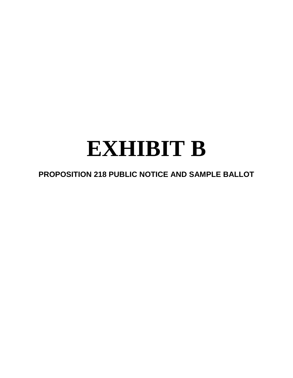# **EXHIBIT B**

# **PROPOSITION 218 PUBLIC NOTICE AND SAMPLE BALLOT**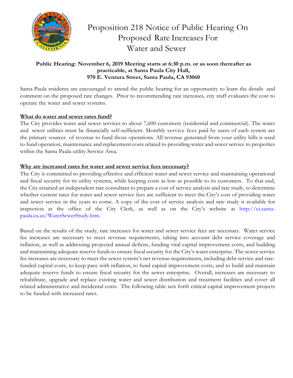

# Proposition 218 Notice of Public Hearing On Proposed Rate Increases For Water and Sewer

# **Public Hearing: November 6, 2019 Meeting starts at 6:30 p.m. or as soon thereafter as practicable, at Santa Paula City Hall, 970 E. Ventura Street, Santa Paula, CA 93060**

Santa Paula residents are encouraged to attend the public hearing for an opportunity to learn the details and comment on the proposed rate changes. Prior to recommending rate increases, city staff evaluates the cost to operate the water and sewer systems.

# **What do water and sewer rates fund?**

The City provides water and sewer services to about 7,600 customers (residential and commercial). The water and sewer utilities must be financially self-sufficient. Monthly service fees paid by users of each system are the primary sources of revenue to fund those operations. All revenue generated from your utility bills is used to fund operation, maintenance and replacement costs related to providing water and sewer service to properties within the Santa Paula utility Service Area.

# **Why are increased rates for water and sewer service fees necessary?**

The City is committed to providing effective and efficient water and sewer service and maintaining operational and fiscal security for its utility systems, while keeping costs as low as possible to its customers. To that end, the City retained an independent rate consultant to prepare a cost of service analysis and rate study, to determine whether current rates for water and sewer service fees are sufficient to meet the City's cost of providing water and sewer service in the years to come. A copy of the cost of service analysis and rate study is available for inspection at the office of the City Clerk, as well as on the City's website at http://ci.santapaula.ca.us/WaterSewerStudy.htm.

Based on the results of the study, rate increases for water and sewer service fees are necessary. Water service fee increases are necessary to meet revenue requirements, taking into account debt service coverage and inflation, as well as addressing projected annual deficits, funding vital capital improvement costs, and building and maintaining adequate reserve funds to ensure fiscal security for the City's water enterprise. The sewer service fee increases are necessary to meet the sewer system's net revenue requirements, including debt service and ratefunded capital costs, to keep pace with inflation, to fund capital improvement costs, and to build and maintain adequate reserve funds to ensure fiscal security for the sewer enterprise. Overall, increases are necessary to rehabilitate, upgrade and replace existing water and sewer distribution and treatment facilities and cover all related administrative and incidental costs. The following table sets forth critical capital improvement projects to be funded with increased rates.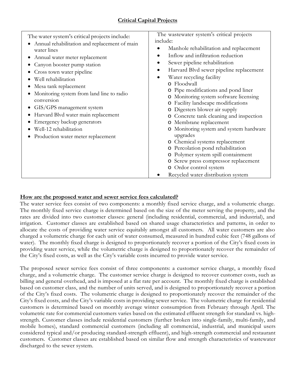| The water system's critical projects include:<br>Annual rehabilitation and replacement of main<br>water lines<br>Annual water meter replacement<br>Canyon booster pump station<br>Cross town water pipeline<br>Well rehabilitation<br>Mesa tank replacement<br>Monitoring system from land line to radio<br>conversion<br>GIS/GPS management system<br>Harvard Blvd water main replacement<br>Emergency backup generators<br>Well-12 rehabilitation<br>Production water meter replacement | The wastewater system's critical projects<br>include:<br>Manhole rehabilitation and replacement<br>Inflow and infiltration reduction<br>Sewer pipeline rehabilitation<br>Harvard Blvd sewer pipeline replacement<br>$\bullet$<br>Water recycling facility<br>o Floodwall<br>o Pipe modifications and pond liner<br>o Monitoring system software licensing<br>Facility landscape modifications<br>o Digesters blower air supply<br>o Concrete tank cleaning and inspection<br>o Membrane replacement<br>o Monitoring system and system hardware<br>upgrades<br>o Chemical systems replacement<br>o Percolation pond rehabilitation<br>o Polymer system spill containment<br>o Screw press compressor replacement<br>o Ordor control system<br>Recycled water distribution system |
|-------------------------------------------------------------------------------------------------------------------------------------------------------------------------------------------------------------------------------------------------------------------------------------------------------------------------------------------------------------------------------------------------------------------------------------------------------------------------------------------|---------------------------------------------------------------------------------------------------------------------------------------------------------------------------------------------------------------------------------------------------------------------------------------------------------------------------------------------------------------------------------------------------------------------------------------------------------------------------------------------------------------------------------------------------------------------------------------------------------------------------------------------------------------------------------------------------------------------------------------------------------------------------------|
|-------------------------------------------------------------------------------------------------------------------------------------------------------------------------------------------------------------------------------------------------------------------------------------------------------------------------------------------------------------------------------------------------------------------------------------------------------------------------------------------|---------------------------------------------------------------------------------------------------------------------------------------------------------------------------------------------------------------------------------------------------------------------------------------------------------------------------------------------------------------------------------------------------------------------------------------------------------------------------------------------------------------------------------------------------------------------------------------------------------------------------------------------------------------------------------------------------------------------------------------------------------------------------------|

# **How are the proposed water and sewer service fees calculated?**

The water service fees consist of two components: a monthly fixed service charge, and a volumetric charge. The monthly fixed service charge is determined based on the size of the meter serving the property, and the rates are divided into two customer classes: general (including residential, commercial, and industrial), and irrigation. Customer classes are established based on shared usage characteristics and patterns, in order to allocate the costs of providing water service equitably amongst all customers. All water customers are also charged a volumetric charge for each unit of water consumed, measured in hundred cubic feet (748 gallons of water). The monthly fixed charge is designed to proportionately recover a portion of the City's fixed costs in providing water service, while the volumetric charge is designed to proportionately recover the remainder of the City's fixed costs, as well as the City's variable costs incurred to provide water service.

The proposed sewer service fees consist of three components: a customer service charge, a monthly fixed charge, and a volumetric charge. The customer service charge is designed to recover customer costs, such as billing and general overhead, and is imposed at a flat rate per account. The monthly fixed charge is established based on customer class, and the number of units served, and is designed to proportionately recover a portion of the City's fixed costs. The volumetric charge is designed to proportionately recover the remainder of the City's fixed costs, and the City's variable costs in providing sewer service. The volumetric charge for residential customers is determined based on monthly average winter consumption from February through April. The volumetric rate for commercial customers varies based on the estimated effluent strength for standard vs. highstrength. Customer classes include residential customers (further broken into single-family, multi-family, and mobile homes), standard commercial customers (including all commercial, industrial, and municipal users considered typical and/or producing standard-strength effluent), and high-strength commercial and restaurant customers. Customer classes are established based on similar flow and strength characteristics of wastewater discharged to the sewer system.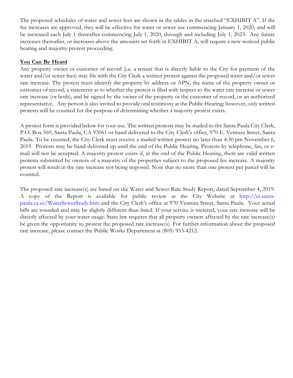The proposed schedules of water and sewer fees are shown in the tables in the attached "EXHIBIT A". If the fee increases are approved, they will be effective for water or sewer use commencing January 1, 2020, and will be increased each July 1 thereafter commencing July 1, 2020, through and including July 1, 2023. Any future increases thereafter, or increases above the amounts set forth in EXHIBIT A, will require a new noticed public hearing and majority protest proceeding.

# **You Can Be Heard**

Any property owner or customer of record (i.e. a tenant that is directly liable to the City for payment of the water and/or sewer fees) may file with the City Clerk a written protest against the proposed water and/or sewer rate increase. The protest must identify the property by address or APN, the name of the property owner or customer of record, a statement as to whether the protest is filed with respect to the water rate increase or sewer rate increase (or both), and be signed by the owner of the property or the customer of record, or an authorized representative. Any person is also invited to provide oral testimony at the Public Hearing; however, only written protests will be counted for the purpose of determining whether a majority protest exists.

A protest form is provided below for your use. The written protests may be mailed to the Santa Paula City Clerk, P.O. Box 569, Santa Paula, CA 93061 or hand delivered to the City Clerk's office, 970 E. Ventura Street, Santa Paula. To be counted, the City Clerk must receive a mailed written protest no later than 4:30 pm November 6, 2019. Protests may be hand-delivered up until the end of the Public Hearing. Protests by telephone, fax, or email will not be accepted. A majority protest exists if, at the end of the Public Hearing, there are valid written protests submitted by owners of a majority of the properties subject to the proposed fee increase. A majority protest will result in the rate increase not being imposed. Note that no more than one protest per parcel will be counted.

The proposed rate increase(s) are based on the Water and Sewer Rate Study Report, dated September 4, 2019. A copy of the Report is available for public review at the City Website at http://ci.santapaula.ca.us/WaterSewerStudy.htm and the City Clerk's office at 970 Ventura Street, Santa Paula. Your actual bills are rounded and may be slightly different than listed. If your service is metered, your rate increase will be directly affected by your water usage. State law requires that all property owners affected by the rate increase(s) be given the opportunity to protest the proposed rate increase(s). For further information about the proposed rate increase, please contact the Public Works Department at (805) 933-4212.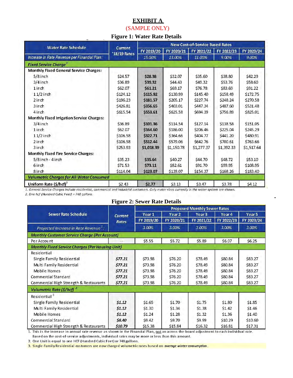# **EXHIBIT A**

(SAMPLE ONLY)

### **Figure 1: Water Rate Details**

| <b>Water Rate Schedule</b><br>Increase in Rate Revenue per Financial Plan: | <b>Current</b><br>'18/19 Rates | <b>New Cost-of-Service Based Rates</b> |            |            |            |            |  |
|----------------------------------------------------------------------------|--------------------------------|----------------------------------------|------------|------------|------------|------------|--|
|                                                                            |                                | FY 2019/20                             | FY 2020/21 | FY 2021/22 | FY 2022/23 | FY 2023/24 |  |
|                                                                            |                                | 15.00%                                 | 13.00%     | 11.00%     | 9.00%      | 9.00%      |  |
| <b>Fixed Service Charge</b> <sup>1</sup>                                   |                                |                                        |            |            |            |            |  |
| <b>Monthly Fixed General Service Charges:</b>                              |                                |                                        |            |            |            |            |  |
| $5/8$ inch                                                                 | \$24.57                        | \$28.38                                | \$32.07    | \$35.60    | \$38.80    | \$42.29    |  |
| $3/4$ inch                                                                 | \$36.89                        | \$39.32                                | \$44.43    | \$49.32    | \$53.76    | \$58.60    |  |
| 1 inch                                                                     | \$62.07                        | \$61.21                                | \$69.17    | \$76.78    | \$83.69    | \$91.22    |  |
| $11/2$ inch                                                                | \$124.12                       | \$115.92                               | \$130.99   | \$145.40   | \$158.49   | \$172.75   |  |
| 2 inch                                                                     | \$196.23                       | \$181.57                               | \$205.17   | \$227.74   | \$248.24   | \$270.58   |  |
| 3 inch                                                                     | \$426.81                       | \$356.65                               | \$403.01   | \$447.34   | \$487.60   | \$531.48   |  |
| 4 inch                                                                     | S615.54                        | \$553.61                               | \$625.58   | \$694.39   | \$756.89   | \$825.01   |  |
| <b>Monthly Fixed Irrigation Service Charges:</b>                           |                                |                                        |            |            |            |            |  |
| $3/4$ inch                                                                 | \$36.89                        | \$101.36                               | \$114.54   | \$127.14   | \$138.58   | \$151.05   |  |
| 1 inch                                                                     | \$62.07                        | \$164.60                               | \$186.00   | \$206.46   | \$225.04   | \$245.29   |  |
| $11/2$ inch                                                                | \$106.58                       | \$322.71                               | \$364.66   | \$404.77   | \$441.20   | \$480.91   |  |
| 2 inch                                                                     | \$106.58                       | 5512.44                                | \$579.06   | \$642.76   | \$700.61   | \$763.66   |  |
| 3 inch                                                                     | \$253.93                       | \$1,018.39                             | \$1,150.78 | \$1,277.37 | \$1,392.33 | \$1,517.64 |  |
| <b>Monthly Fixed Fire Service Charges:</b>                                 |                                |                                        |            |            |            |            |  |
| $5/8$ inch - 4 inch                                                        | \$35.23                        | \$35.64                                | \$40.27    | \$44.70    | \$48.72    | \$53.10    |  |
| 6 inch                                                                     | \$71.53                        | \$73.11                                | \$82.61    | \$91.70    | \$99.95    | \$108.95   |  |
| 8 inch                                                                     | \$114.04                       | \$123.07                               | \$139.07   | \$154.37   | \$168.26   | \$183.40   |  |
| <b>Volumetric Charges for All Water Consumed</b>                           |                                |                                        |            |            |            |            |  |
| Uniform Rate $(5/hcf)^2$                                                   | \$2.43                         | \$2.77                                 | 53.13      | \$3.47     | \$3.78     | \$4.12     |  |

2. One hcf (Hundred Cubic Feet) = 748 gallons.

# **Figure 2: Sewer Rate Details**

| <b>Sewer Rate Schedule</b><br>Projected Increase in Rate Revenue <sup>1</sup> : | Current<br><b>Rates</b> | <b>Proposed Monthly Sewer Rates</b> |                                          |                                          |                               |                               |                                                      |  |        |              |        |        |        |
|---------------------------------------------------------------------------------|-------------------------|-------------------------------------|------------------------------------------|------------------------------------------|-------------------------------|-------------------------------|------------------------------------------------------|--|--------|--------------|--------|--------|--------|
|                                                                                 |                         | Year 1<br>FY 2019/20<br>3.00%       | Year <sub>2</sub><br>FY 2020/21<br>3.00% | Year <sub>3</sub><br>FY 2021/22<br>3.00% | Year 4<br>FY 2022/23<br>3.00% | Year 5<br>FY 2023/24<br>3.00% |                                                      |  |        |              |        |        |        |
|                                                                                 |                         |                                     |                                          |                                          |                               |                               | <b>Monthly Customer Service Charge (Per Account)</b> |  |        |              |        |        |        |
|                                                                                 |                         |                                     |                                          |                                          |                               |                               | Per Account                                          |  | \$5.55 | <b>S5.72</b> | \$5.89 | \$6.07 | \$6.25 |
| <b>Monthly Fixed Service Charges (Per Housing Unit)</b>                         |                         |                                     |                                          |                                          |                               |                               |                                                      |  |        |              |        |        |        |
| Residential                                                                     |                         |                                     |                                          |                                          |                               |                               |                                                      |  |        |              |        |        |        |
| Single Family Residential                                                       | \$77.21                 | \$73.98                             | \$76.20                                  | \$78.49                                  | \$80.84                       | \$83.27                       |                                                      |  |        |              |        |        |        |
| Multi Family Residential                                                        | \$77.21                 | \$73.98                             | \$76.20                                  | \$78.49                                  | \$80.84                       | \$83.27                       |                                                      |  |        |              |        |        |        |
| Mobile Homes                                                                    | \$77.21                 | \$73.98                             | \$76.20                                  | \$78.49                                  | \$80.84                       | \$83.27                       |                                                      |  |        |              |        |        |        |
| Commercial Standard                                                             | \$77.21                 | \$73.98                             | \$76.20                                  | \$78.49                                  | \$80.84                       | \$83.27                       |                                                      |  |        |              |        |        |        |
| Commercial High Strength & Restaurants                                          | \$77.21                 | \$73.98                             | \$76.20                                  | \$78.49                                  | \$80.84                       | \$83.27                       |                                                      |  |        |              |        |        |        |
| Volumetric Rate (\$/hcf) <sup>2</sup>                                           |                         |                                     |                                          |                                          |                               |                               |                                                      |  |        |              |        |        |        |
| Residential <sup>3</sup>                                                        |                         |                                     |                                          |                                          |                               |                               |                                                      |  |        |              |        |        |        |
| Single Family Residential                                                       | \$1.12                  | \$1.65                              | S1.70                                    | \$1.75                                   | \$1.80                        | \$1.85                        |                                                      |  |        |              |        |        |        |
| Multi Family Residential                                                        | 51.12                   | \$1.30                              | \$1.34                                   | \$1.38                                   | \$1.42                        | \$1.46                        |                                                      |  |        |              |        |        |        |
| Mobile Homes                                                                    | 51.12                   | \$1.24                              | <b>S1.28</b>                             | \$1.32                                   | \$1.36                        | \$1.40                        |                                                      |  |        |              |        |        |        |
| Commercial Standard                                                             | \$8.40                  | \$9.42                              | S9.70                                    | \$9.99                                   | \$10.29                       | \$10.60                       |                                                      |  |        |              |        |        |        |
| Commercial High Strength & Restaurants                                          | \$10.79                 | \$15.38                             | \$15.84                                  | \$16.32                                  | \$16.81                       | \$17.31                       |                                                      |  |        |              |        |        |        |

1. This is the increase in annual rate revenue as shown in the Financial Plan, not an across-the-board adjustment to each individual rate. Based on the cost-of-service adjustments, individual rates may be more or less than this amount.

2. One Unit is equal to one HCF (Hundred Cubic Feet) or 748 gallons.

3. Single-Family Residential customers are now charged volumetric rates based on average winter consumption.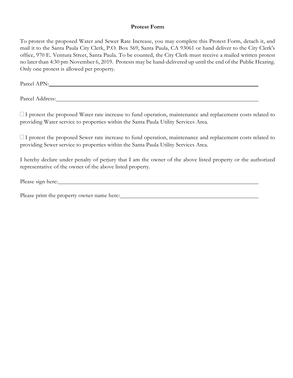#### **Protest Form**

To protest the proposed Water and Sewer Rate Increase, you may complete this Protest Form, detach it, and mail it to the Santa Paula City Clerk, P.O. Box 569, Santa Paula, CA 93061 or hand deliver to the City Clerk's office, 970 E. Ventura Street, Santa Paula. To be counted, the City Clerk must receive a mailed written protest no later than 4:30 pm November 6, 2019. Protests may be hand-delivered up until the end of the Public Hearing. Only one protest is allowed per property.

Parcel APN: North Contract APN:

Parcel Address:

□ I protest the proposed Water rate increase to fund operation, maintenance and replacement costs related to providing Water service to properties within the Santa Paula Utility Services Area.

 $\Box$  I protest the proposed Sewer rate increase to fund operation, maintenance and replacement costs related to providing Sewer service to properties within the Santa Paula Utility Services Area.

I hereby declare under penalty of perjury that I am the owner of the above listed property or the authorized representative of the owner of the above listed property.

Please sign here:

Please print the property owner name here: